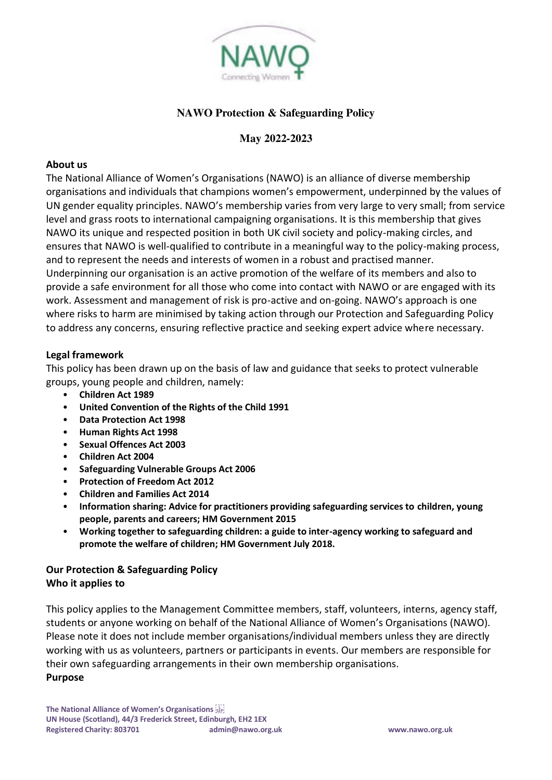

# **NAWO Protection & Safeguarding Policy**

## **May 2022-2023**

#### **About us**

The National Alliance of Women's Organisations (NAWO) is an alliance of diverse membership organisations and individuals that champions women's empowerment, underpinned by the values of UN gender equality principles. NAWO's membership varies from very large to very small; from service level and grass roots to international campaigning organisations. It is this membership that gives NAWO its unique and respected position in both UK civil society and policy-making circles, and ensures that NAWO is well-qualified to contribute in a meaningful way to the policy-making process, and to represent the needs and interests of women in a robust and practised manner. Underpinning our organisation is an active promotion of the welfare of its members and also to provide a safe environment for all those who come into contact with NAWO or are engaged with its work. Assessment and management of risk is pro-active and on-going. NAWO's approach is one

where risks to harm are minimised by taking action through our Protection and Safeguarding Policy to address any concerns, ensuring reflective practice and seeking expert advice where necessary.

#### **Legal framework**

This policy has been drawn up on the basis of law and guidance that seeks to protect vulnerable groups, young people and children, namely:

- **Children Act 1989**
- **United Convention of the Rights of the Child 1991**
- **Data Protection Act 1998**
- **Human Rights Act 1998**
- **Sexual Offences Act 2003**
- **Children Act 2004**
- **Safeguarding Vulnerable Groups Act 2006**
- **Protection of Freedom Act 2012**
- **Children and Families Act 2014**
- **Information sharing: Advice for practitioners providing safeguarding services to children, young people, parents and careers; HM Government 2015**
- **Working together to safeguarding children: a guide to inter-agency working to safeguard and promote the welfare of children; HM Government July 2018.**

## **Our Protection & Safeguarding Policy Who it applies to**

This policy applies to the Management Committee members, staff, volunteers, interns, agency staff, students or anyone working on behalf of the National Alliance of Women's Organisations (NAWO). Please note it does not include member organisations/individual members unless they are directly working with us as volunteers, partners or participants in events. Our members are responsible for their own safeguarding arrangements in their own membership organisations. **Purpose**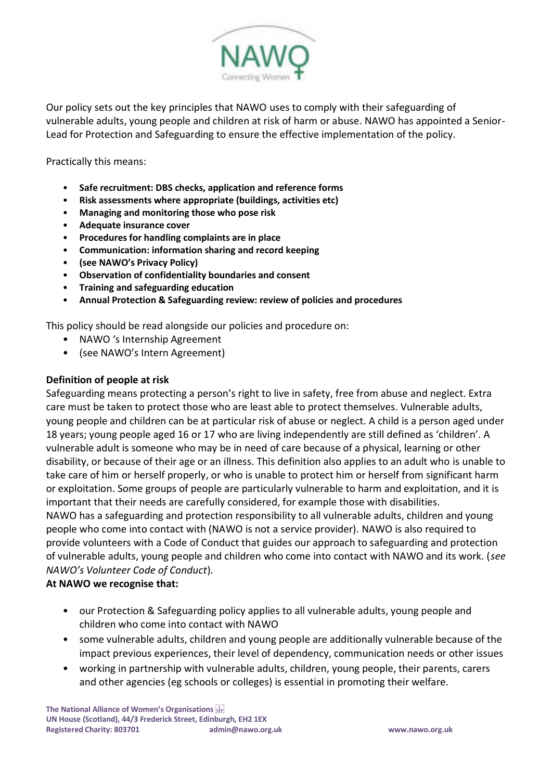

Our policy sets out the key principles that NAWO uses to comply with their safeguarding of vulnerable adults, young people and children at risk of harm or abuse. NAWO has appointed a Senior-Lead for Protection and Safeguarding to ensure the effective implementation of the policy.

Practically this means:

- **Safe recruitment: DBS checks, application and reference forms**
- **Risk assessments where appropriate (buildings, activities etc)**
- **Managing and monitoring those who pose risk**
- **Adequate insurance cover**
- **Procedures for handling complaints are in place**
- **Communication: information sharing and record keeping**
- **(see NAWO's Privacy Policy)**
- **Observation of confidentiality boundaries and consent**
- **Training and safeguarding education**
- **Annual Protection & Safeguarding review: review of policies and procedures**

This policy should be read alongside our policies and procedure on:

- NAWO 's Internship Agreement
- (see NAWO's Intern Agreement)

## **Definition of people at risk**

Safeguarding means protecting a person's right to live in safety, free from abuse and neglect. Extra care must be taken to protect those who are least able to protect themselves. Vulnerable adults, young people and children can be at particular risk of abuse or neglect. A child is a person aged under 18 years; young people aged 16 or 17 who are living independently are still defined as 'children'. A vulnerable adult is someone who may be in need of care because of a physical, learning or other disability, or because of their age or an illness. This definition also applies to an adult who is unable to take care of him or herself properly, or who is unable to protect him or herself from significant harm or exploitation. Some groups of people are particularly vulnerable to harm and exploitation, and it is important that their needs are carefully considered, for example those with disabilities. NAWO has a safeguarding and protection responsibility to all vulnerable adults, children and young people who come into contact with (NAWO is not a service provider). NAWO is also required to provide volunteers with a Code of Conduct that guides our approach to safeguarding and protection of vulnerable adults, young people and children who come into contact with NAWO and its work. (*see NAWO's Volunteer Code of Conduct*).

## **At NAWO we recognise that:**

- our Protection & Safeguarding policy applies to all vulnerable adults, young people and children who come into contact with NAWO
- some vulnerable adults, children and young people are additionally vulnerable because of the impact previous experiences, their level of dependency, communication needs or other issues
- working in partnership with vulnerable adults, children, young people, their parents, carers and other agencies (eg schools or colleges) is essential in promoting their welfare.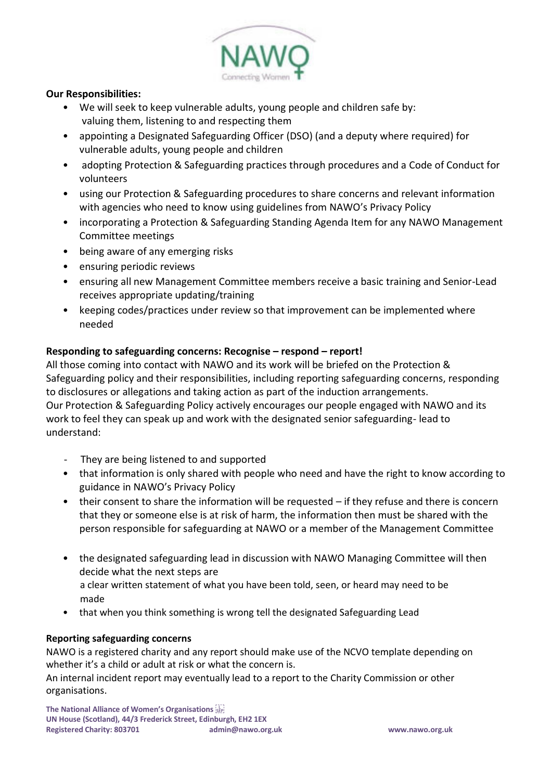

### **Our Responsibilities:**

- We will seek to keep vulnerable adults, young people and children safe by: valuing them, listening to and respecting them
- appointing a Designated Safeguarding Officer (DSO) (and a deputy where required) for vulnerable adults, young people and children
- adopting Protection & Safeguarding practices through procedures and a Code of Conduct for volunteers
- using our Protection & Safeguarding procedures to share concerns and relevant information with agencies who need to know using guidelines from NAWO's Privacy Policy
- incorporating a Protection & Safeguarding Standing Agenda Item for any NAWO Management Committee meetings
- being aware of any emerging risks
- ensuring periodic reviews
- ensuring all new Management Committee members receive a basic training and Senior-Lead receives appropriate updating/training
- keeping codes/practices under review so that improvement can be implemented where needed

## **Responding to safeguarding concerns: Recognise – respond – report!**

All those coming into contact with NAWO and its work will be briefed on the Protection & Safeguarding policy and their responsibilities, including reporting safeguarding concerns, responding to disclosures or allegations and taking action as part of the induction arrangements. Our Protection & Safeguarding Policy actively encourages our people engaged with NAWO and its work to feel they can speak up and work with the designated senior safeguarding- lead to understand:

- They are being listened to and supported
- that information is only shared with people who need and have the right to know according to guidance in NAWO's Privacy Policy
- their consent to share the information will be requested if they refuse and there is concern that they or someone else is at risk of harm, the information then must be shared with the person responsible for safeguarding at NAWO or a member of the Management Committee
- the designated safeguarding lead in discussion with NAWO Managing Committee will then decide what the next steps are a clear written statement of what you have been told, seen, or heard may need to be made
- that when you think something is wrong tell the designated Safeguarding Lead

### **Reporting safeguarding concerns**

NAWO is a registered charity and any report should make use of the NCVO template depending on whether it's a child or adult at risk or what the concern is.

An internal incident report may eventually lead to a report to the Charity Commission or other organisations.

**The National Alliance of Women's Organisations UN House (Scotland), 44/3 Frederick Street, Edinburgh, EH2 1EX Registered Charity: 803701 [admin@nawo.org.uk](mailto:admin@nawo.org.uk) www.nawo.org.uk**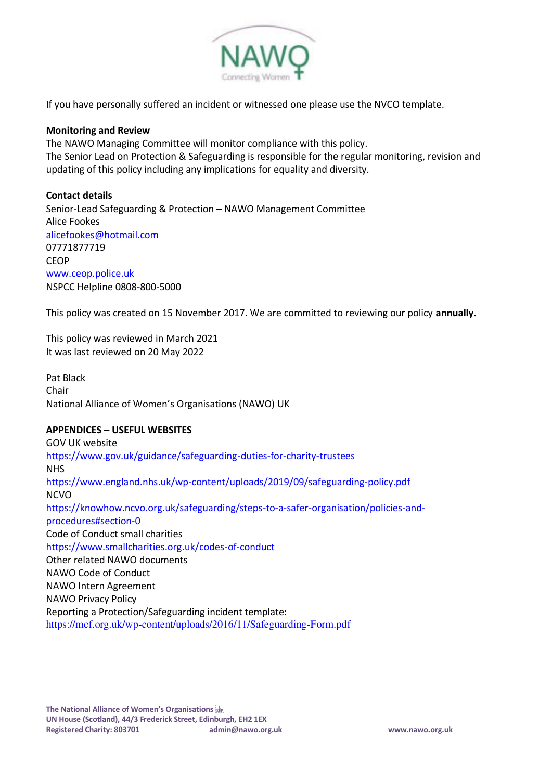

If you have personally suffered an incident or witnessed one please use the NVCO template.

#### **Monitoring and Review**

The NAWO Managing Committee will monitor compliance with this policy. The Senior Lead on Protection & Safeguarding is responsible for the regular monitoring, revision and updating of this policy including any implications for equality and diversity.

#### **Contact details**

Senior-Lead Safeguarding & Protection – NAWO Management Committee Alice Fookes alicefookes@hotmail.com 07771877719 **CEOP** www.ceop.police.uk NSPCC Helpline 0808-800-5000

This policy was created on 15 November 2017. We are committed to reviewing our policy **annually.** 

This policy was reviewed in March 2021 It was last reviewed on 20 May 2022

Pat Black Chair National Alliance of Women's Organisations (NAWO) UK

### **APPENDICES – USEFUL WEBSITES**

GOV UK website https://www.gov.uk/guidance/safeguarding-duties-for-charity-trustees **NHS** https://www.england.nhs.uk/wp-content/uploads/2019/09/safeguarding-policy.pdf NCVO https://knowhow.ncvo.org.uk/safeguarding/steps-to-a-safer-organisation/policies-andprocedures#section-0 Code of Conduct small charities https://www.smallcharities.org.uk/codes-of-conduct Other related NAWO documents NAWO Code of Conduct NAWO Intern Agreement NAWO Privacy Policy Reporting a Protection/Safeguarding incident template: https://mcf.org.uk/wp-content/uploads/2016/11/Safeguarding-Form.pdf